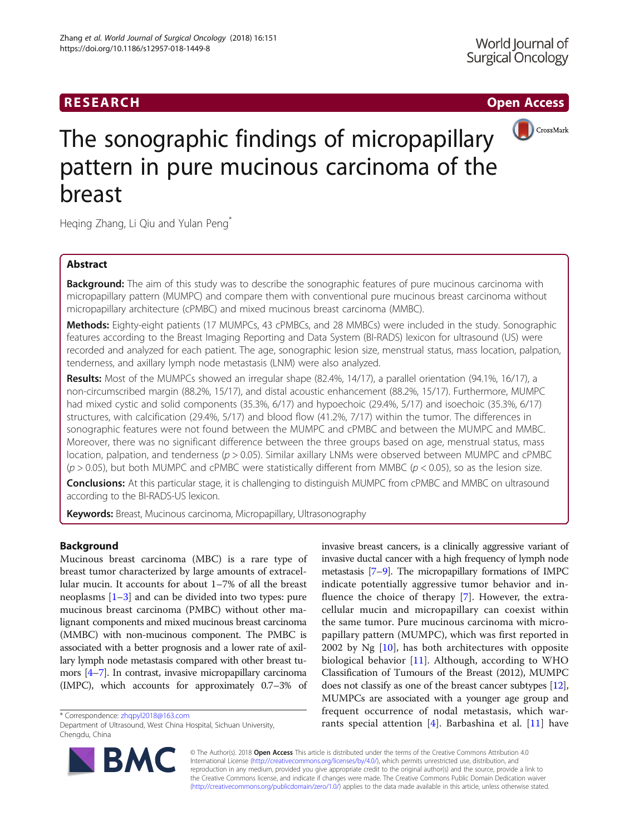# **RESEARCH CHINESE ARCH CHINESE ARCH CHINESE ARCH**



# The sonographic findings of micropapillary pattern in pure mucinous carcinoma of the breast

Heqing Zhang, Li Qiu and Yulan Peng\*

# Abstract

**Background:** The aim of this study was to describe the sonographic features of pure mucinous carcinoma with micropapillary pattern (MUMPC) and compare them with conventional pure mucinous breast carcinoma without micropapillary architecture (cPMBC) and mixed mucinous breast carcinoma (MMBC).

Methods: Eighty-eight patients (17 MUMPCs, 43 cPMBCs, and 28 MMBCs) were included in the study. Sonographic features according to the Breast Imaging Reporting and Data System (BI-RADS) lexicon for ultrasound (US) were recorded and analyzed for each patient. The age, sonographic lesion size, menstrual status, mass location, palpation, tenderness, and axillary lymph node metastasis (LNM) were also analyzed.

Results: Most of the MUMPCs showed an irregular shape (82.4%, 14/17), a parallel orientation (94.1%, 16/17), a non-circumscribed margin (88.2%, 15/17), and distal acoustic enhancement (88.2%, 15/17). Furthermore, MUMPC had mixed cystic and solid components (35.3%, 6/17) and hypoechoic (29.4%, 5/17) and isoechoic (35.3%, 6/17) structures, with calcification (29.4%, 5/17) and blood flow (41.2%, 7/17) within the tumor. The differences in sonographic features were not found between the MUMPC and cPMBC and between the MUMPC and MMBC. Moreover, there was no significant difference between the three groups based on age, menstrual status, mass location, palpation, and tenderness ( $p > 0.05$ ). Similar axillary LNMs were observed between MUMPC and cPMBC  $(p > 0.05)$ , but both MUMPC and cPMBC were statistically different from MMBC ( $p < 0.05$ ), so as the lesion size.

Conclusions: At this particular stage, it is challenging to distinguish MUMPC from cPMBC and MMBC on ultrasound according to the BI-RADS-US lexicon.

**Keywords:** Breast, Mucinous carcinoma, Micropapillary, Ultrasonography

# Background

Mucinous breast carcinoma (MBC) is a rare type of breast tumor characterized by large amounts of extracellular mucin. It accounts for about 1–7% of all the breast neoplasms  $[1-3]$  $[1-3]$  $[1-3]$  $[1-3]$  and can be divided into two types: pure mucinous breast carcinoma (PMBC) without other malignant components and mixed mucinous breast carcinoma (MMBC) with non-mucinous component. The PMBC is associated with a better prognosis and a lower rate of axillary lymph node metastasis compared with other breast tumors [\[4](#page-6-0)–[7](#page-6-0)]. In contrast, invasive micropapillary carcinoma (IMPC), which accounts for approximately 0.7–3% of

Department of Ultrasound, West China Hospital, Sichuan University, Chengdu, China



invasive breast cancers, is a clinically aggressive variant of invasive ductal cancer with a high frequency of lymph node metastasis [\[7](#page-6-0)–[9\]](#page-6-0). The micropapillary formations of IMPC indicate potentially aggressive tumor behavior and influence the choice of therapy [[7\]](#page-6-0). However, the extracellular mucin and micropapillary can coexist within the same tumor. Pure mucinous carcinoma with micropapillary pattern (MUMPC), which was first reported in 2002 by Ng [\[10](#page-6-0)], has both architectures with opposite biological behavior [\[11](#page-6-0)]. Although, according to WHO Classification of Tumours of the Breast (2012), MUMPC does not classify as one of the breast cancer subtypes [[12](#page-6-0)], MUMPCs are associated with a younger age group and frequent occurrence of nodal metastasis, which war\* Correspondence: [zhqpyl2018@163.com](mailto:zhqpyl2018@163.com) **attention in the controlled attention controlled attention [[4\]](#page-6-0). Barbashina et al. [\[11](#page-6-0)] have the partment of Ultrasound, West China Hospital, Sichuan University, <b>the varitum in the spe** 

> © The Author(s). 2018 Open Access This article is distributed under the terms of the Creative Commons Attribution 4.0 International License [\(http://creativecommons.org/licenses/by/4.0/](http://creativecommons.org/licenses/by/4.0/)), which permits unrestricted use, distribution, and reproduction in any medium, provided you give appropriate credit to the original author(s) and the source, provide a link to the Creative Commons license, and indicate if changes were made. The Creative Commons Public Domain Dedication waiver [\(http://creativecommons.org/publicdomain/zero/1.0/](http://creativecommons.org/publicdomain/zero/1.0/)) applies to the data made available in this article, unless otherwise stated.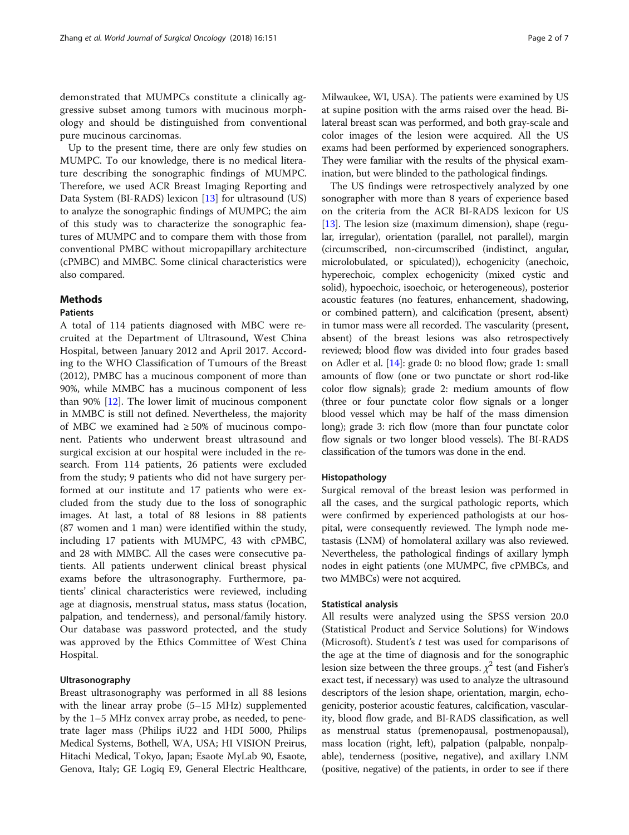demonstrated that MUMPCs constitute a clinically aggressive subset among tumors with mucinous morphology and should be distinguished from conventional pure mucinous carcinomas.

Up to the present time, there are only few studies on MUMPC. To our knowledge, there is no medical literature describing the sonographic findings of MUMPC. Therefore, we used ACR Breast Imaging Reporting and Data System (BI-RADS) lexicon [\[13\]](#page-6-0) for ultrasound (US) to analyze the sonographic findings of MUMPC; the aim of this study was to characterize the sonographic features of MUMPC and to compare them with those from conventional PMBC without micropapillary architecture (cPMBC) and MMBC. Some clinical characteristics were also compared.

# Methods

# Patients

A total of 114 patients diagnosed with MBC were recruited at the Department of Ultrasound, West China Hospital, between January 2012 and April 2017. According to the WHO Classification of Tumours of the Breast (2012), PMBC has a mucinous component of more than 90%, while MMBC has a mucinous component of less than 90% [[12\]](#page-6-0). The lower limit of mucinous component in MMBC is still not defined. Nevertheless, the majority of MBC we examined had  $\geq$  50% of mucinous component. Patients who underwent breast ultrasound and surgical excision at our hospital were included in the research. From 114 patients, 26 patients were excluded from the study; 9 patients who did not have surgery performed at our institute and 17 patients who were excluded from the study due to the loss of sonographic images. At last, a total of 88 lesions in 88 patients (87 women and 1 man) were identified within the study, including 17 patients with MUMPC, 43 with cPMBC, and 28 with MMBC. All the cases were consecutive patients. All patients underwent clinical breast physical exams before the ultrasonography. Furthermore, patients' clinical characteristics were reviewed, including age at diagnosis, menstrual status, mass status (location, palpation, and tenderness), and personal/family history. Our database was password protected, and the study was approved by the Ethics Committee of West China Hospital.

# Ultrasonography

Breast ultrasonography was performed in all 88 lesions with the linear array probe (5–15 MHz) supplemented by the 1–5 MHz convex array probe, as needed, to penetrate lager mass (Philips iU22 and HDI 5000, Philips Medical Systems, Bothell, WA, USA; HI VISION Preirus, Hitachi Medical, Tokyo, Japan; Esaote MyLab 90, Esaote, Genova, Italy; GE Logiq E9, General Electric Healthcare, Milwaukee, WI, USA). The patients were examined by US at supine position with the arms raised over the head. Bilateral breast scan was performed, and both gray-scale and color images of the lesion were acquired. All the US exams had been performed by experienced sonographers. They were familiar with the results of the physical examination, but were blinded to the pathological findings.

The US findings were retrospectively analyzed by one sonographer with more than 8 years of experience based on the criteria from the ACR BI-RADS lexicon for US [[13](#page-6-0)]. The lesion size (maximum dimension), shape (regular, irregular), orientation (parallel, not parallel), margin (circumscribed, non-circumscribed (indistinct, angular, microlobulated, or spiculated)), echogenicity (anechoic, hyperechoic, complex echogenicity (mixed cystic and solid), hypoechoic, isoechoic, or heterogeneous), posterior acoustic features (no features, enhancement, shadowing, or combined pattern), and calcification (present, absent) in tumor mass were all recorded. The vascularity (present, absent) of the breast lesions was also retrospectively reviewed; blood flow was divided into four grades based on Adler et al. [[14](#page-6-0)]: grade 0: no blood flow; grade 1: small amounts of flow (one or two punctate or short rod-like color flow signals); grade 2: medium amounts of flow (three or four punctate color flow signals or a longer blood vessel which may be half of the mass dimension long); grade 3: rich flow (more than four punctate color flow signals or two longer blood vessels). The BI-RADS classification of the tumors was done in the end.

#### Histopathology

Surgical removal of the breast lesion was performed in all the cases, and the surgical pathologic reports, which were confirmed by experienced pathologists at our hospital, were consequently reviewed. The lymph node metastasis (LNM) of homolateral axillary was also reviewed. Nevertheless, the pathological findings of axillary lymph nodes in eight patients (one MUMPC, five cPMBCs, and two MMBCs) were not acquired.

## Statistical analysis

All results were analyzed using the SPSS version 20.0 (Statistical Product and Service Solutions) for Windows (Microsoft). Student's  $t$  test was used for comparisons of the age at the time of diagnosis and for the sonographic lesion size between the three groups.  $\chi^2$  test (and Fisher's exact test, if necessary) was used to analyze the ultrasound descriptors of the lesion shape, orientation, margin, echogenicity, posterior acoustic features, calcification, vascularity, blood flow grade, and BI-RADS classification, as well as menstrual status (premenopausal, postmenopausal), mass location (right, left), palpation (palpable, nonpalpable), tenderness (positive, negative), and axillary LNM (positive, negative) of the patients, in order to see if there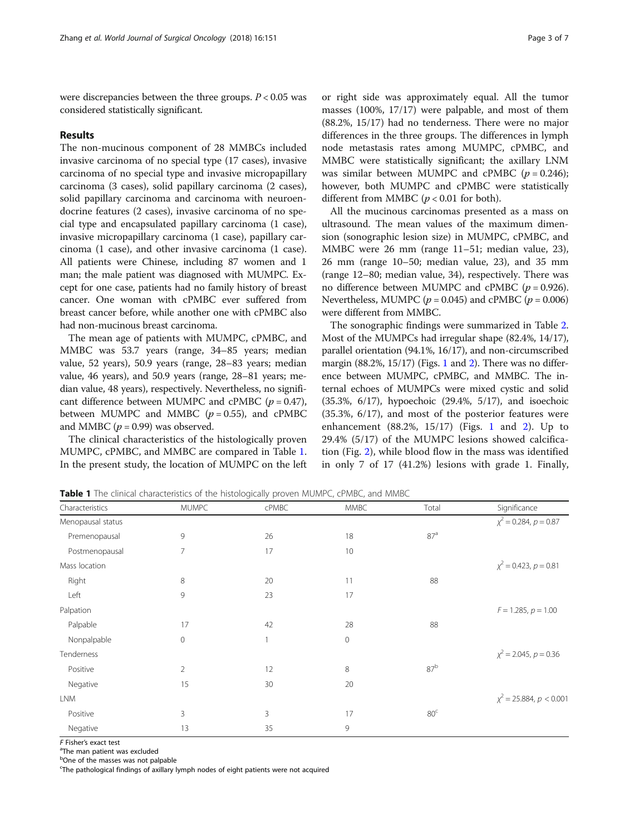were discrepancies between the three groups.  $P < 0.05$  was considered statistically significant.

### Results

The non-mucinous component of 28 MMBCs included invasive carcinoma of no special type (17 cases), invasive carcinoma of no special type and invasive micropapillary carcinoma (3 cases), solid papillary carcinoma (2 cases), solid papillary carcinoma and carcinoma with neuroendocrine features (2 cases), invasive carcinoma of no special type and encapsulated papillary carcinoma (1 case), invasive micropapillary carcinoma (1 case), papillary carcinoma (1 case), and other invasive carcinoma (1 case). All patients were Chinese, including 87 women and 1 man; the male patient was diagnosed with MUMPC. Except for one case, patients had no family history of breast cancer. One woman with cPMBC ever suffered from breast cancer before, while another one with cPMBC also had non-mucinous breast carcinoma.

The mean age of patients with MUMPC, cPMBC, and MMBC was 53.7 years (range, 34–85 years; median value, 52 years), 50.9 years (range, 28–83 years; median value, 46 years), and 50.9 years (range, 28–81 years; median value, 48 years), respectively. Nevertheless, no significant difference between MUMPC and cPMBC  $(p = 0.47)$ , between MUMPC and MMBC  $(p = 0.55)$ , and cPMBC and MMBC ( $p = 0.99$ ) was observed.

The clinical characteristics of the histologically proven MUMPC, cPMBC, and MMBC are compared in Table 1. In the present study, the location of MUMPC on the left

or right side was approximately equal. All the tumor masses (100%, 17/17) were palpable, and most of them (88.2%, 15/17) had no tenderness. There were no major differences in the three groups. The differences in lymph node metastasis rates among MUMPC, cPMBC, and MMBC were statistically significant; the axillary LNM was similar between MUMPC and cPMBC  $(p = 0.246)$ ; however, both MUMPC and cPMBC were statistically different from MMBC  $(p < 0.01$  for both).

All the mucinous carcinomas presented as a mass on ultrasound. The mean values of the maximum dimension (sonographic lesion size) in MUMPC, cPMBC, and MMBC were 26 mm (range 11–51; median value, 23), 26 mm (range 10–50; median value, 23), and 35 mm (range 12–80; median value, 34), respectively. There was no difference between MUMPC and cPMBC ( $p = 0.926$ ). Nevertheless, MUMPC ( $p = 0.045$ ) and cPMBC ( $p = 0.006$ ) were different from MMBC.

The sonographic findings were summarized in Table [2](#page-3-0). Most of the MUMPCs had irregular shape (82.4%, 14/17), parallel orientation (94.1%, 16/17), and non-circumscribed margin  $(88.2\%, 15/17)$  $(88.2\%, 15/17)$  $(88.2\%, 15/17)$  (Figs. 1 and [2](#page-4-0)). There was no difference between MUMPC, cPMBC, and MMBC. The internal echoes of MUMPCs were mixed cystic and solid (35.3%, 6/17), hypoechoic (29.4%, 5/17), and isoechoic (35.3%, 6/17), and most of the posterior features were enhancement (88.2%, 15/17) (Figs. [1](#page-4-0) and [2](#page-4-0)). Up to 29.4% (5/17) of the MUMPC lesions showed calcification (Fig. [2](#page-4-0)), while blood flow in the mass was identified in only 7 of 17 (41.2%) lesions with grade 1. Finally,

**Table 1** The clinical characteristics of the histologically proven MUMPC, cPMBC, and MMBC

| Characteristics   | <b>MUMPC</b>   | <b>cPMBC</b> | <b>MMBC</b> | Total           | Significance                 |
|-------------------|----------------|--------------|-------------|-----------------|------------------------------|
| Menopausal status |                |              |             |                 | $\chi^2$ = 0.284, p = 0.87   |
| Premenopausal     | 9              | 26           | 18          | 87 <sup>a</sup> |                              |
| Postmenopausal    | $\overline{7}$ | 17           | 10          |                 |                              |
| Mass location     |                |              |             |                 | $\chi^2$ = 0.423, p = 0.81   |
| Right             | 8              | 20           | 11          | 88              |                              |
| Left              | 9              | 23           | 17          |                 |                              |
| Palpation         |                |              |             |                 | $F = 1.285, p = 1.00$        |
| Palpable          | 17             | 42           | 28          | 88              |                              |
| Nonpalpable       | $\mathbf 0$    |              | 0           |                 |                              |
| Tenderness        |                |              |             |                 | $\chi^2$ = 2.045, p = 0.36   |
| Positive          | $\overline{2}$ | 12           | 8           | 87 <sup>b</sup> |                              |
| Negative          | 15             | 30           | 20          |                 |                              |
| <b>LNM</b>        |                |              |             |                 | $\chi^2$ = 25.884, p < 0.001 |
| Positive          | 3              | 3            | 17          | 80 <sup>c</sup> |                              |
| Negative          | 13             | 35           | 9           |                 |                              |

 $F$  Fisher's exact test

<sup>a</sup>The man patient was excluded

**b**One of the masses was not palpable

<sup>c</sup>The pathological findings of axillary lymph nodes of eight patients were not acquired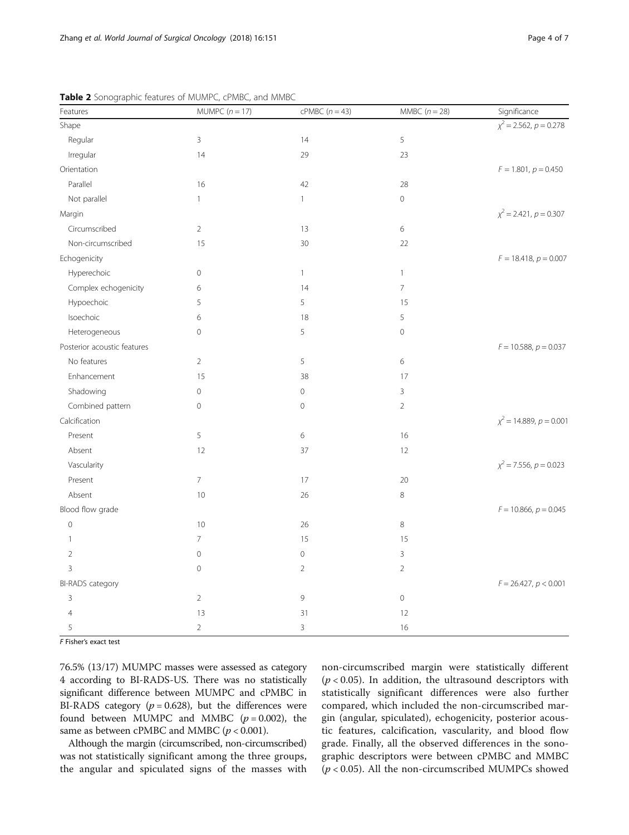| Features                    | MUMPC $(n = 17)$              | $cPMBC (n = 43)$ | $MMBC (n = 28)$ | Significance                  |
|-----------------------------|-------------------------------|------------------|-----------------|-------------------------------|
| Shape                       |                               |                  |                 | $\chi^2$ = 2.562, $p$ = 0.278 |
| Regular                     | $\overline{3}$                | 14               | 5               |                               |
| Irregular                   | 14                            | 29               | 23              |                               |
| Orientation                 | $F = 1.801, p = 0.450$        |                  |                 |                               |
| Parallel                    | 16                            | 42               | 28              |                               |
| Not parallel                | $\mathbf{1}$                  | $\mathbf{1}$     | $\mathbf 0$     |                               |
| Margin                      | $\chi^2$ = 2.421, $p$ = 0.307 |                  |                 |                               |
| Circumscribed               | 2                             | 13               | $\,$ 6 $\,$     |                               |
| Non-circumscribed           | 15                            | 30               | 22              |                               |
| Echogenicity                | $F = 18.418$ , $p = 0.007$    |                  |                 |                               |
| Hyperechoic                 | $\mathbb O$                   | $\mathbf{1}$     | $\mathbf{1}$    |                               |
| Complex echogenicity        | 6                             | 14               | $\overline{7}$  |                               |
| Hypoechoic                  | 5                             | 5                | 15              |                               |
| Isoechoic                   | 6                             | 18               | 5               |                               |
| Heterogeneous               | $\mathbf 0$                   | 5                | $\mathbf 0$     |                               |
| Posterior acoustic features | $F = 10.588, p = 0.037$       |                  |                 |                               |
| No features                 | $\overline{2}$                | 5                | 6               |                               |
| Enhancement                 | 15                            | 38               | 17              |                               |
| Shadowing                   | $\circ$                       | 0                | $\mathsf 3$     |                               |
| Combined pattern            | $\circ$                       | $\mathbf 0$      | $\overline{2}$  |                               |
| Calcification               | $\chi^2$ = 14.889, p = 0.001  |                  |                 |                               |
| Present                     | 5                             | 6                | 16              |                               |
| Absent                      | 12                            | 37               | 12              |                               |
| Vascularity                 |                               |                  |                 | $\chi^2$ = 7.556, p = 0.023   |
| Present                     | $7^{\circ}$                   | 17               | 20              |                               |
| Absent                      | $10\,$                        | 26               | 8               |                               |
| Blood flow grade            | $F = 10.866$ , $p = 0.045$    |                  |                 |                               |
| $\mathbf 0$                 | 10                            | 26               | $\,8\,$         |                               |
| $\mathbf{1}$                | $\overline{7}$                | 15               | 15              |                               |
| $\overline{2}$              | $\mathbb O$                   | $\mathbf 0$      | $\mathsf{3}$    |                               |
| 3                           | $\mathbb O$                   | $\overline{2}$   | $\overline{2}$  |                               |
| BI-RADS category            | $F = 26.427, p < 0.001$       |                  |                 |                               |
| $\mathsf 3$                 | $\overline{2}$                | 9                | $\mathbf 0$     |                               |
| $\overline{4}$              | 13                            | 31               | 12              |                               |
| 5                           | $\overline{2}$                | 3                | 16              |                               |

<span id="page-3-0"></span>Table 2 Sonographic features of MUMPC, cPMBC, and MMBC

F Fisher's exact test

76.5% (13/17) MUMPC masses were assessed as category 4 according to BI-RADS-US. There was no statistically significant difference between MUMPC and cPMBC in BI-RADS category ( $p = 0.628$ ), but the differences were found between MUMPC and MMBC  $(p = 0.002)$ , the same as between cPMBC and MMBC ( $p < 0.001$ ).

Although the margin (circumscribed, non-circumscribed) was not statistically significant among the three groups, the angular and spiculated signs of the masses with non-circumscribed margin were statistically different  $(p < 0.05)$ . In addition, the ultrasound descriptors with statistically significant differences were also further compared, which included the non-circumscribed margin (angular, spiculated), echogenicity, posterior acoustic features, calcification, vascularity, and blood flow grade. Finally, all the observed differences in the sonographic descriptors were between cPMBC and MMBC  $(p < 0.05)$ . All the non-circumscribed MUMPCs showed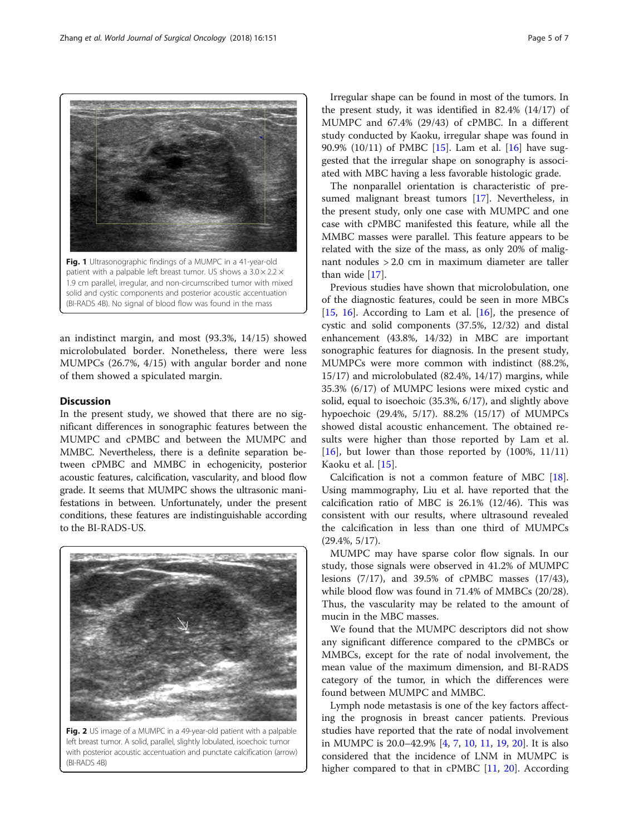an indistinct margin, and most (93.3%, 14/15) showed microlobulated border. Nonetheless, there were less MUMPCs (26.7%, 4/15) with angular border and none of them showed a spiculated margin.

# **Discussion**

In the present study, we showed that there are no significant differences in sonographic features between the MUMPC and cPMBC and between the MUMPC and MMBC. Nevertheless, there is a definite separation between cPMBC and MMBC in echogenicity, posterior acoustic features, calcification, vascularity, and blood flow grade. It seems that MUMPC shows the ultrasonic manifestations in between. Unfortunately, under the present conditions, these features are indistinguishable according to the BI-RADS-US.

Fig. 2 US image of a MUMPC in a 49-year-old patient with a palpable left breast tumor. A solid, parallel, slightly lobulated, isoechoic tumor with posterior acoustic accentuation and punctate calcification (arrow) (BI-RADS 4B)

Irregular shape can be found in most of the tumors. In the present study, it was identified in 82.4% (14/17) of MUMPC and 67.4% (29/43) of cPMBC. In a different study conducted by Kaoku, irregular shape was found in 90.9% (10/11) of PMBC [\[15](#page-6-0)]. Lam et al. [[16](#page-6-0)] have suggested that the irregular shape on sonography is associated with MBC having a less favorable histologic grade.

The nonparallel orientation is characteristic of presumed malignant breast tumors [[17](#page-6-0)]. Nevertheless, in the present study, only one case with MUMPC and one case with cPMBC manifested this feature, while all the MMBC masses were parallel. This feature appears to be related with the size of the mass, as only 20% of malignant nodules > 2.0 cm in maximum diameter are taller than wide [\[17\]](#page-6-0).

Previous studies have shown that microlobulation, one of the diagnostic features, could be seen in more MBCs [[15,](#page-6-0) [16\]](#page-6-0). According to Lam et al.  $[16]$ , the presence of cystic and solid components (37.5%, 12/32) and distal enhancement (43.8%, 14/32) in MBC are important sonographic features for diagnosis. In the present study, MUMPCs were more common with indistinct (88.2%, 15/17) and microlobulated (82.4%, 14/17) margins, while 35.3% (6/17) of MUMPC lesions were mixed cystic and solid, equal to isoechoic (35.3%, 6/17), and slightly above hypoechoic (29.4%, 5/17). 88.2% (15/17) of MUMPCs showed distal acoustic enhancement. The obtained results were higher than those reported by Lam et al.  $[16]$  $[16]$ , but lower than those reported by  $(100\%, 11/11)$ Kaoku et al. [[15\]](#page-6-0).

Calcification is not a common feature of MBC [\[18](#page-6-0)]. Using mammography, Liu et al. have reported that the calcification ratio of MBC is 26.1% (12/46). This was consistent with our results, where ultrasound revealed the calcification in less than one third of MUMPCs (29.4%, 5/17).

MUMPC may have sparse color flow signals. In our study, those signals were observed in 41.2% of MUMPC lesions (7/17), and 39.5% of cPMBC masses (17/43), while blood flow was found in 71.4% of MMBCs (20/28). Thus, the vascularity may be related to the amount of mucin in the MBC masses.

We found that the MUMPC descriptors did not show any significant difference compared to the cPMBCs or MMBCs, except for the rate of nodal involvement, the mean value of the maximum dimension, and BI-RADS category of the tumor, in which the differences were found between MUMPC and MMBC.

Lymph node metastasis is one of the key factors affecting the prognosis in breast cancer patients. Previous studies have reported that the rate of nodal involvement in MUMPC is 20.0–42.9% [\[4](#page-6-0), [7](#page-6-0), [10,](#page-6-0) [11,](#page-6-0) [19,](#page-6-0) [20](#page-6-0)]. It is also considered that the incidence of LNM in MUMPC is higher compared to that in cPMBC [\[11](#page-6-0), [20](#page-6-0)]. According

<span id="page-4-0"></span>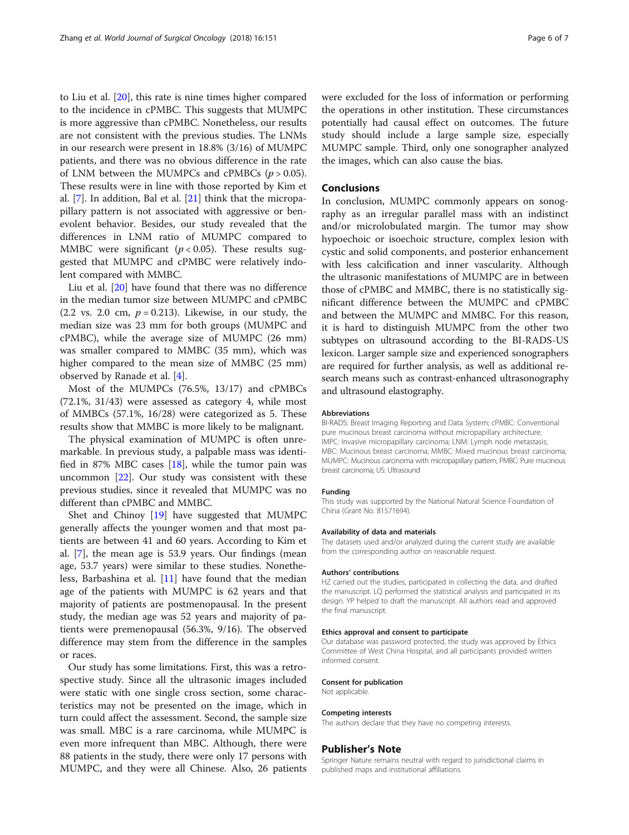to Liu et al. [[20](#page-6-0)], this rate is nine times higher compared to the incidence in cPMBC. This suggests that MUMPC is more aggressive than cPMBC. Nonetheless, our results are not consistent with the previous studies. The LNMs in our research were present in 18.8% (3/16) of MUMPC patients, and there was no obvious difference in the rate of LNM between the MUMPCs and cPMBCs  $(p > 0.05)$ . These results were in line with those reported by Kim et al. [\[7\]](#page-6-0). In addition, Bal et al. [[21\]](#page-6-0) think that the micropapillary pattern is not associated with aggressive or benevolent behavior. Besides, our study revealed that the differences in LNM ratio of MUMPC compared to MMBC were significant ( $p < 0.05$ ). These results suggested that MUMPC and cPMBC were relatively indolent compared with MMBC.

Liu et al. [\[20](#page-6-0)] have found that there was no difference in the median tumor size between MUMPC and cPMBC (2.2 vs. 2.0 cm,  $p = 0.213$ ). Likewise, in our study, the median size was 23 mm for both groups (MUMPC and cPMBC), while the average size of MUMPC (26 mm) was smaller compared to MMBC (35 mm), which was higher compared to the mean size of MMBC (25 mm) observed by Ranade et al. [\[4](#page-6-0)].

Most of the MUMPCs (76.5%, 13/17) and cPMBCs (72.1%, 31/43) were assessed as category 4, while most of MMBCs (57.1%, 16/28) were categorized as 5. These results show that MMBC is more likely to be malignant.

The physical examination of MUMPC is often unremarkable. In previous study, a palpable mass was identified in 87% MBC cases [\[18](#page-6-0)], while the tumor pain was uncommon [[22\]](#page-6-0). Our study was consistent with these previous studies, since it revealed that MUMPC was no different than cPMBC and MMBC.

Shet and Chinoy [[19](#page-6-0)] have suggested that MUMPC generally affects the younger women and that most patients are between 41 and 60 years. According to Kim et al. [\[7](#page-6-0)], the mean age is 53.9 years. Our findings (mean age, 53.7 years) were similar to these studies. Nonetheless, Barbashina et al. [\[11\]](#page-6-0) have found that the median age of the patients with MUMPC is 62 years and that majority of patients are postmenopausal. In the present study, the median age was 52 years and majority of patients were premenopausal (56.3%, 9/16). The observed difference may stem from the difference in the samples or races.

Our study has some limitations. First, this was a retrospective study. Since all the ultrasonic images included were static with one single cross section, some characteristics may not be presented on the image, which in turn could affect the assessment. Second, the sample size was small. MBC is a rare carcinoma, while MUMPC is even more infrequent than MBC. Although, there were 88 patients in the study, there were only 17 persons with MUMPC, and they were all Chinese. Also, 26 patients were excluded for the loss of information or performing the operations in other institution. These circumstances potentially had causal effect on outcomes. The future study should include a large sample size, especially MUMPC sample. Third, only one sonographer analyzed the images, which can also cause the bias.

# Conclusions

In conclusion, MUMPC commonly appears on sonography as an irregular parallel mass with an indistinct and/or microlobulated margin. The tumor may show hypoechoic or isoechoic structure, complex lesion with cystic and solid components, and posterior enhancement with less calcification and inner vascularity. Although the ultrasonic manifestations of MUMPC are in between those of cPMBC and MMBC, there is no statistically significant difference between the MUMPC and cPMBC and between the MUMPC and MMBC. For this reason, it is hard to distinguish MUMPC from the other two subtypes on ultrasound according to the BI-RADS-US lexicon. Larger sample size and experienced sonographers are required for further analysis, as well as additional research means such as contrast-enhanced ultrasonography and ultrasound elastography.

#### Abbreviations

BI-RADS: Breast Imaging Reporting and Data System; cPMBC: Conventional pure mucinous breast carcinoma without micropapillary architecture; IMPC: Invasive micropapillary carcinoma; LNM: Lymph node metastasis; MBC: Mucinous breast carcinoma; MMBC: Mixed mucinous breast carcinoma; MUMPC: Mucinous carcinoma with micropapillary pattern; PMBC: Pure mucinous breast carcinoma; US: Ultrasound

#### Funding

This study was supported by the National Natural Science Foundation of China (Grant No. 81571694).

#### Availability of data and materials

The datasets used and/or analyzed during the current study are available from the corresponding author on reasonable request.

#### Authors' contributions

HZ carried out the studies, participated in collecting the data, and drafted the manuscript. LQ performed the statistical analysis and participated in its design. YP helped to draft the manuscript. All authors read and approved the final manuscript.

#### Ethics approval and consent to participate

Our database was password protected, the study was approved by Ethics Committee of West China Hospital, and all participants provided written informed consent.

#### Consent for publication

Not applicable.

#### Competing interests

The authors declare that they have no competing interests.

#### Publisher's Note

Springer Nature remains neutral with regard to jurisdictional claims in published maps and institutional affiliations.